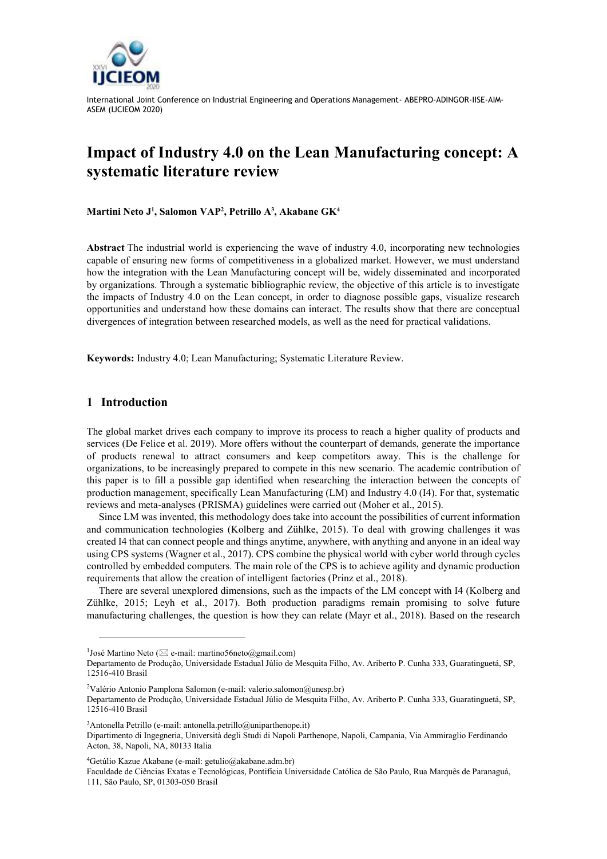

International Joint Conference on Industrial Engineering and Operations Management- ABEPRO-ADINGOR-IISE-AIM-ASEM (IJCIEOM 2020)

# **Impact of Industry 4.0 on the Lean Manufacturing concept: A systematic literature review**

**Martini Neto J 1 , Salomon VAP<sup>2</sup> , Petrillo A<sup>3</sup> , Akabane GK<sup>4</sup>**

**Abstract** The industrial world is experiencing the wave of industry 4.0, incorporating new technologies capable of ensuring new forms of competitiveness in a globalized market. However, we must understand how the integration with the Lean Manufacturing concept will be, widely disseminated and incorporated by organizations. Through a systematic bibliographic review, the objective of this article is to investigate the impacts of Industry 4.0 on the Lean concept, in order to diagnose possible gaps, visualize research opportunities and understand how these domains can interact. The results show that there are conceptual divergences of integration between researched models, as well as the need for practical validations.

**Keywords:** Industry 4.0; Lean Manufacturing; Systematic Literature Review.

#### **1 Introduction**

l

The global market drives each company to improve its process to reach a higher quality of products and services (De Felice et al. 2019). More offers without the counterpart of demands, generate the importance of products renewal to attract consumers and keep competitors away. This is the challenge for organizations, to be increasingly prepared to compete in this new scenario. The academic contribution of this paper is to fill a possible gap identified when researching the interaction between the concepts of production management, specifically Lean Manufacturing (LM) and Industry 4.0 (I4). For that, systematic reviews and meta-analyses (PRISMA) guidelines were carried out (Moher et al., 2015).

Since LM was invented, this methodology does take into account the possibilities of current information and communication technologies (Kolberg and Zühlke, 2015). To deal with growing challenges it was created I4 that can connect people and things anytime, anywhere, with anything and anyone in an ideal way using CPS systems (Wagner et al., 2017). CPS combine the physical world with cyber world through cycles controlled by embedded computers. The main role of the CPS is to achieve agility and dynamic production requirements that allow the creation of intelligent factories (Prinz et al., 2018).

There are several unexplored dimensions, such as the impacts of the LM concept with I4 (Kolberg and Zühlke, 2015; Leyh et al., 2017). Both production paradigms remain promising to solve future manufacturing challenges, the question is how they can relate (Mayr et al., 2018). Based on the research

<sup>&</sup>lt;sup>1</sup>José Martino Neto ( $\boxtimes$  e-mail: martino56neto@gmail.com)

Departamento de Produção, Universidade Estadual Júlio de Mesquita Filho, Av. Ariberto P. Cunha 333, Guaratinguetá, SP, 12516‐410 Brasil

<sup>&</sup>lt;sup>2</sup>Valério Antonio Pamplona Salomon (e-mail: valerio.salomon@unesp.br)

Departamento de Produção, Universidade Estadual Júlio de Mesquita Filho, Av. Ariberto P. Cunha 333, Guaratinguetá, SP, 12516‐410 Brasil

<sup>3</sup>Antonella Petrillo (e-mail: antonella.petrillo@uniparthenope.it)

Dipartimento di Ingegneria, Università degli Studi di Napoli Parthenope, Napoli, Campania, Via Ammiraglio Ferdinando Acton, 38, Napoli, NA, 80133 Italia

<sup>&</sup>lt;sup>4</sup>Getúlio Kazue Akabane (e-mail: getulio@akabane.adm.br)

Faculdade de Ciências Exatas e Tecnológicas, Pontifícia Universidade Católica de São Paulo, Rua Marquês de Paranaguá, 111, São Paulo, SP, 01303-050 Brasil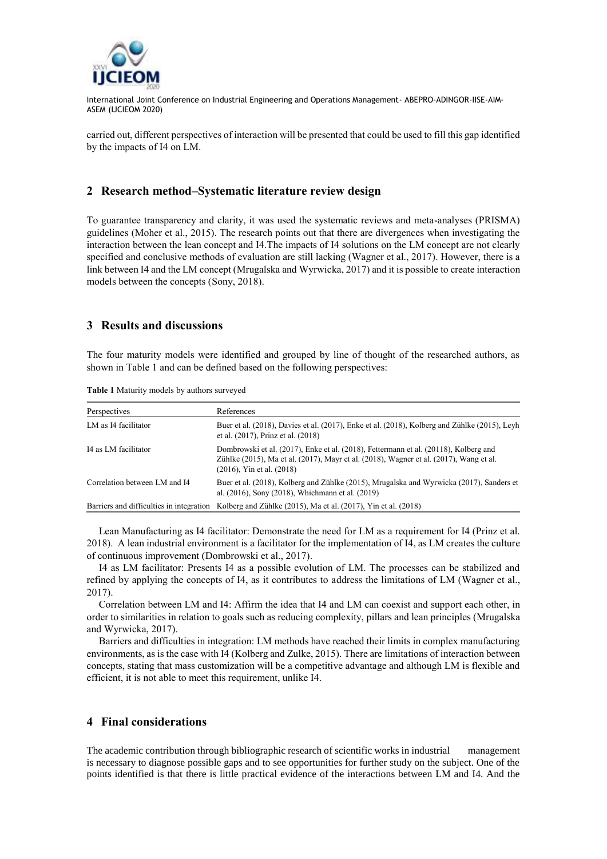

International Joint Conference on Industrial Engineering and Operations Management- ABEPRO-ADINGOR-IISE-AIM-ASEM (IJCIEOM 2020)

carried out, different perspectives of interaction will be presented that could be used to fill this gap identified by the impacts of I4 on LM.

## **2 Research method–Systematic literature review design**

To guarantee transparency and clarity, it was used the systematic reviews and meta-analyses (PRISMA) guidelines (Moher et al., 2015). The research points out that there are divergences when investigating the interaction between the lean concept and I4.The impacts of I4 solutions on the LM concept are not clearly specified and conclusive methods of evaluation are still lacking (Wagner et al., 2017). However, there is a link between I4 and the LM concept (Mrugalska and Wyrwicka, 2017) and it is possible to create interaction models between the concepts (Sony, 2018).

## **3 Results and discussions**

The four maturity models were identified and grouped by line of thought of the researched authors, as shown in Table 1 and can be defined based on the following perspectives:

| Perspectives                             | References                                                                                                                                                                                                       |
|------------------------------------------|------------------------------------------------------------------------------------------------------------------------------------------------------------------------------------------------------------------|
| LM as I4 facilitator                     | Buer et al. (2018), Davies et al. (2017), Enke et al. (2018), Kolberg and Zühlke (2015), Leyh<br>et al. (2017), Prinz et al. (2018)                                                                              |
| I4 as LM facilitator                     | Dombrowski et al. (2017), Enke et al. (2018), Fettermann et al. (20118), Kolberg and<br>Zühlke (2015), Ma et al. (2017), Mayr et al. (2018), Wagner et al. (2017), Wang et al.<br>$(2016)$ , Yin et al. $(2018)$ |
| Correlation between LM and I4            | Buer et al. (2018), Kolberg and Zühlke (2015), Mrugalska and Wyrwicka (2017), Sanders et<br>al. (2016), Sony (2018), Whichmann et al. (2019)                                                                     |
| Barriers and difficulties in integration | Kolberg and Zühlke (2015), Ma et al. (2017), Yin et al. (2018)                                                                                                                                                   |

**Table 1** Maturity models by authors surveyed

Lean Manufacturing as I4 facilitator: Demonstrate the need for LM as a requirement for I4 (Prinz et al. 2018). A lean industrial environment is a facilitator for the implementation of I4, as LM creates the culture of continuous improvement (Dombrowski et al., 2017).

I4 as LM facilitator: Presents I4 as a possible evolution of LM. The processes can be stabilized and refined by applying the concepts of I4, as it contributes to address the limitations of LM (Wagner et al., 2017).

Correlation between LM and I4: Affirm the idea that I4 and LM can coexist and support each other, in order to similarities in relation to goals such as reducing complexity, pillars and lean principles (Mrugalska and Wyrwicka, 2017).

Barriers and difficulties in integration: LM methods have reached their limits in complex manufacturing environments, as is the case with I4 (Kolberg and Zulke, 2015). There are limitations of interaction between concepts, stating that mass customization will be a competitive advantage and although LM is flexible and efficient, it is not able to meet this requirement, unlike I4.

### **4 Final considerations**

The academic contribution through bibliographic research of scientific works in industrial management is necessary to diagnose possible gaps and to see opportunities for further study on the subject. One of the points identified is that there is little practical evidence of the interactions between LM and I4. And the